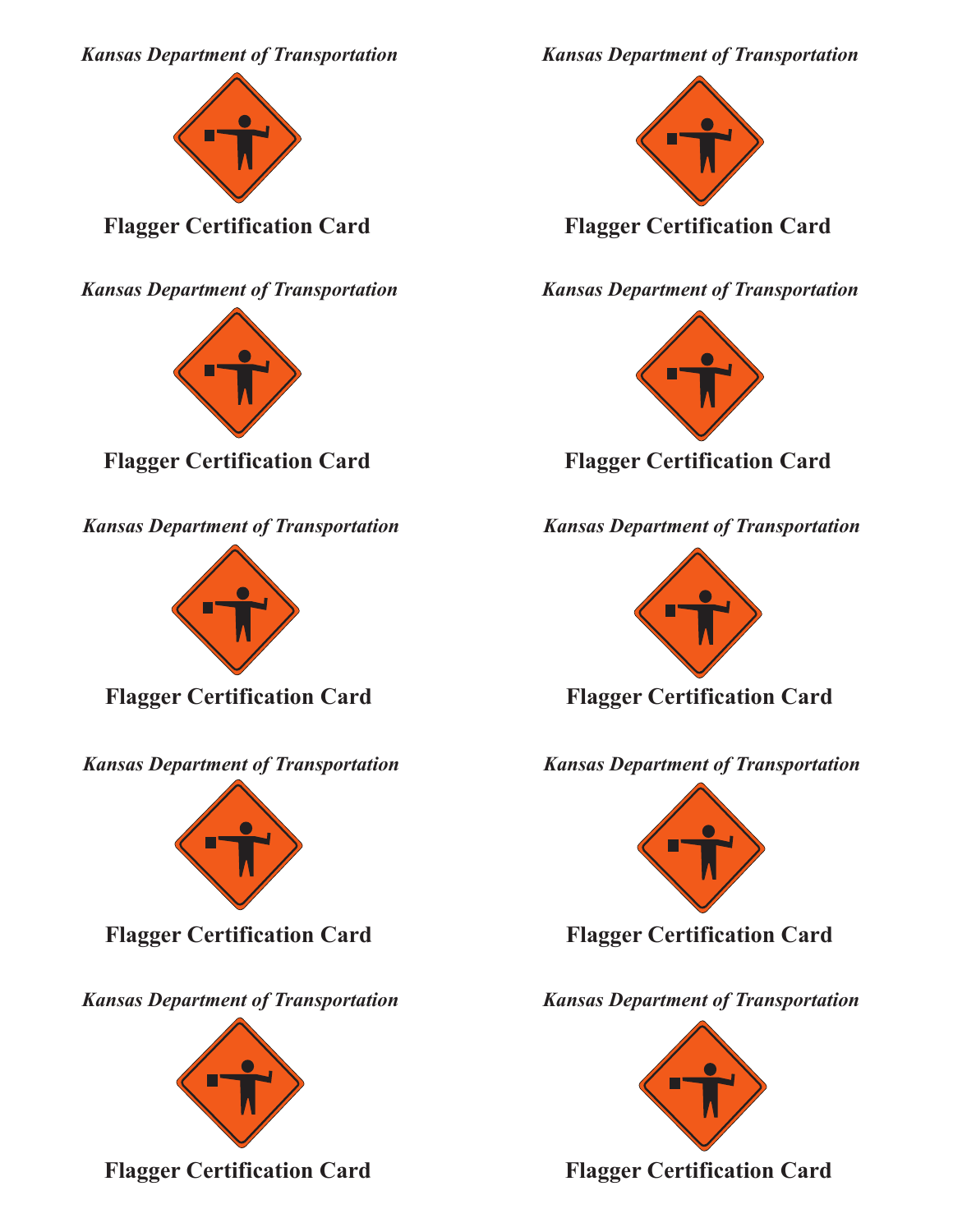*Kansas Department of Transportation*



**Flagger Certification Card**

*Kansas Department of Transportation*



**Flagger Certification Card**

*Kansas Department of Transportation*



**Flagger Certification Card**

*Kansas Department of Transportation*



**Flagger Certification Card**

*Kansas Department of Transportation*



**Flagger Certification Card**

*Kansas Department of Transportation*



**Flagger Certification Card**

*Kansas Department of Transportation*



**Flagger Certification Card**

*Kansas Department of Transportation*



**Flagger Certification Card**

*Kansas Department of Transportation*



**Flagger Certification Card**

*Kansas Department of Transportation*



**Flagger Certification Card**